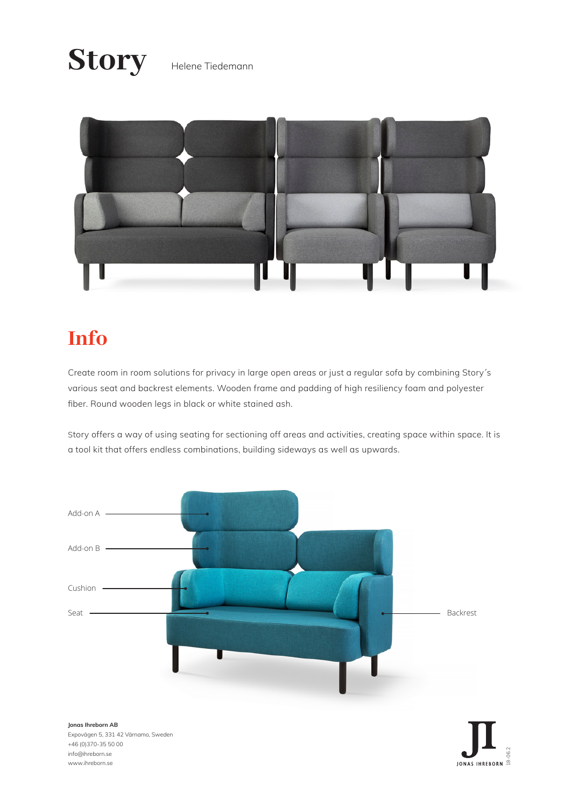# Story Helene Tiedemann



# **Info**

Create room in room solutions for privacy in large open areas or just a regular sofa by combining Story´s various seat and backrest elements. Wooden frame and padding of high resiliency foam and polyester fiber. Round wooden legs in black or white stained ash.

Story offers a way of using seating for sectioning off areas and activities, creating space within space. It is a tool kit that offers endless combinations, building sideways as well as upwards.

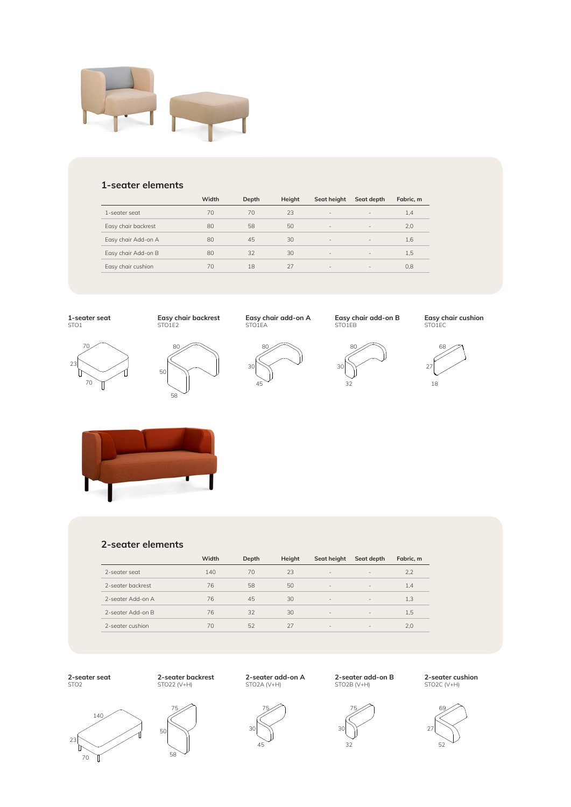

#### **1-seater elements**

|                     | Width | Depth | Height | Seat height              | Seat depth               | Fabric. m |
|---------------------|-------|-------|--------|--------------------------|--------------------------|-----------|
| 1-seater seat       | 70    | 70    | 23     | $\overline{\phantom{a}}$ | $\qquad \qquad =$        | 1,4       |
| Easy chair backrest | 80    | 58    | 50     | $\qquad \qquad =$        | $\overline{\phantom{a}}$ | 2,0       |
| Easy chair Add-on A | 80    | 45    | 30     | $\sim$                   | $\overline{\phantom{a}}$ | 1,6       |
| Easy chair Add-on B | 80    | 32    | 30     | $\overline{\phantom{a}}$ | $\overline{\phantom{a}}$ | 1,5       |
| Easy chair cushion  | 70    | 18    | 27     | $\overline{\phantom{a}}$ | $\overline{\phantom{a}}$ | 0,8       |
|                     |       |       |        |                          |                          |           |

**1-seater seat** STO1



70

**Easy chair backrest** STO1E2

80

58

50

**Easy chair add-on A** STO1EA



80 **Easy chair add-on B** STO1EB



**Easy chair cushion** STO1EC





#### **2-seater elements**

|                   | Width | Depth | Height | Seat height              | Seat depth               | Fabric. m |
|-------------------|-------|-------|--------|--------------------------|--------------------------|-----------|
| 2-seater seat     | 140   | 70    | 23     | -                        | $\qquad \qquad =$        | 2,2       |
| 2-seater backrest | 76    | 58    | 50     | $\overline{\phantom{m}}$ | $\overline{\phantom{a}}$ | 1,4       |
| 2-seater Add-on A | 76    | 45    | 30     | $\qquad \qquad =$        | $\overline{\phantom{a}}$ | 1,3       |
| 2-seater Add-on B | 76    | 32    | 30     | $\overline{\phantom{a}}$ | $\overline{\phantom{a}}$ | 1,5       |
| 2-seater cushion  | 70    | 52    | 27     | $\qquad \qquad =$        | $\overline{\phantom{a}}$ | 2,0       |

**2-seater seat** STO2





**2-seater backrest** STO22 (V+H)

**2-seater add-on A** STO2A (V+H)



**2-seater add-on B** STO2B (V+H)



**2-seater cushion** STO2C (V+H)

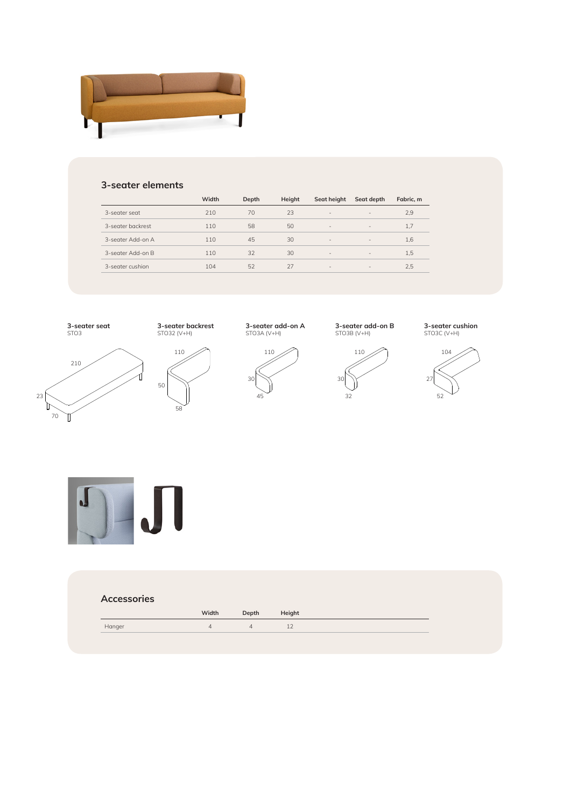

### **3-seater elements**

|                   | Width | Depth | Height | Seat height              | Seat depth               | Fabric, m |
|-------------------|-------|-------|--------|--------------------------|--------------------------|-----------|
| 3-seater seat     | 210   | 70    | 23     | $\overline{\phantom{a}}$ | $\overline{\phantom{a}}$ | 2,9       |
| 3-seater backrest | 110   | 58    | 50     | $\overline{\phantom{a}}$ | $\overline{\phantom{a}}$ | 1.7       |
| 3-segter Add-on A | 110   | 45    | 30     | $\overline{\phantom{a}}$ | $\overline{\phantom{a}}$ | 1,6       |
| 3-seater Add-on B | 110   | 32    | 30     | $\overline{\phantom{a}}$ | $\overline{\phantom{a}}$ | 1,5       |
| 3-seater cushion  | 104   | 52    | 27     | $\overline{\phantom{a}}$ | $\overline{\phantom{a}}$ | 2,5       |
|                   |       |       |        |                          |                          |           |



| Width              |  | Depth Height |  |
|--------------------|--|--------------|--|
| Hanger<br>$\Delta$ |  |              |  |